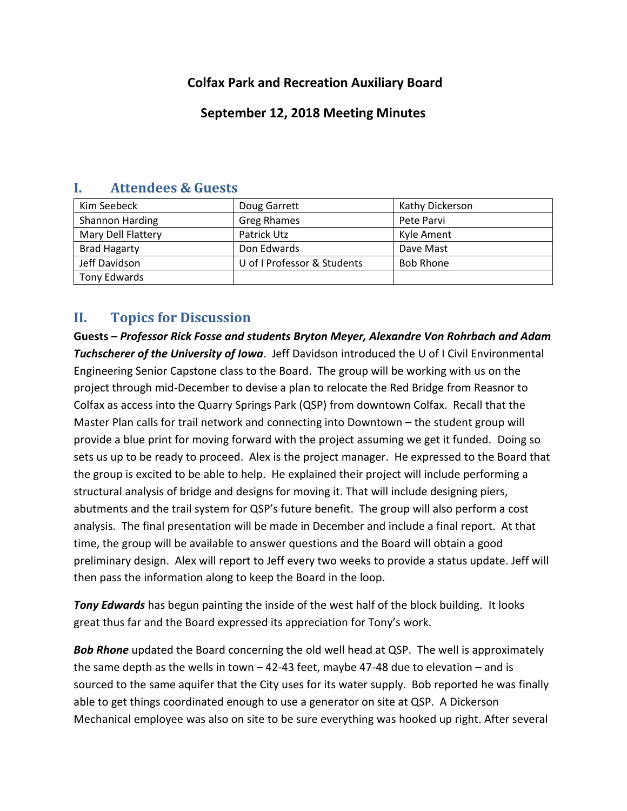# **Colfax Park and Recreation Auxiliary Board**

# **September 12, 2018 Meeting Minutes**

| Kim Seebeck         | Doug Garrett                | Kathy Dickerson  |
|---------------------|-----------------------------|------------------|
| Shannon Harding     | <b>Greg Rhames</b>          | Pete Parvi       |
| Mary Dell Flattery  | Patrick Utz                 | Kyle Ament       |
| <b>Brad Hagarty</b> | Don Edwards                 | Dave Mast        |
| Jeff Davidson       | U of I Professor & Students | <b>Bob Rhone</b> |
| Tony Edwards        |                             |                  |

### **I. Attendees & Guests**

# **II. Topics for Discussion**

**Guests –** *Professor Rick Fosse and students Bryton Meyer, Alexandre Von Rohrbach and Adam Tuchscherer of the University of Iowa*. Jeff Davidson introduced the U of I Civil Environmental Engineering Senior Capstone class to the Board. The group will be working with us on the project through mid-December to devise a plan to relocate the Red Bridge from Reasnor to Colfax as access into the Quarry Springs Park (QSP) from downtown Colfax. Recall that the Master Plan calls for trail network and connecting into Downtown – the student group will provide a blue print for moving forward with the project assuming we get it funded. Doing so sets us up to be ready to proceed. Alex is the project manager. He expressed to the Board that the group is excited to be able to help. He explained their project will include performing a structural analysis of bridge and designs for moving it. That will include designing piers, abutments and the trail system for QSP's future benefit. The group will also perform a cost analysis. The final presentation will be made in December and include a final report. At that time, the group will be available to answer questions and the Board will obtain a good preliminary design. Alex will report to Jeff every two weeks to provide a status update. Jeff will then pass the information along to keep the Board in the loop.

*Tony Edwards* has begun painting the inside of the west half of the block building. It looks great thus far and the Board expressed its appreciation for Tony's work.

*Bob Rhone* updated the Board concerning the old well head at QSP. The well is approximately the same depth as the wells in town  $-42-43$  feet, maybe 47-48 due to elevation  $-$  and is sourced to the same aquifer that the City uses for its water supply. Bob reported he was finally able to get things coordinated enough to use a generator on site at QSP. A Dickerson Mechanical employee was also on site to be sure everything was hooked up right. After several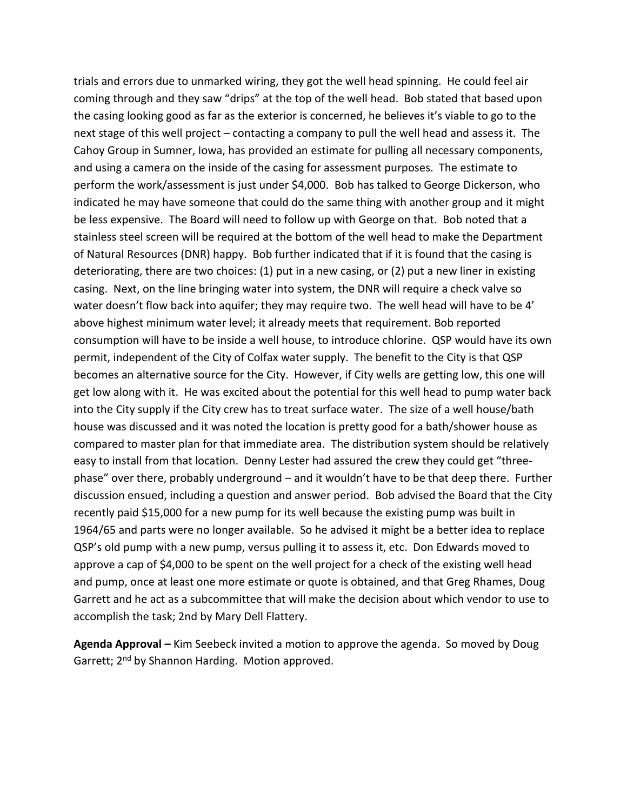trials and errors due to unmarked wiring, they got the well head spinning. He could feel air coming through and they saw "drips" at the top of the well head. Bob stated that based upon the casing looking good as far as the exterior is concerned, he believes it's viable to go to the next stage of this well project – contacting a company to pull the well head and assess it. The Cahoy Group in Sumner, Iowa, has provided an estimate for pulling all necessary components, and using a camera on the inside of the casing for assessment purposes. The estimate to perform the work/assessment is just under \$4,000. Bob has talked to George Dickerson, who indicated he may have someone that could do the same thing with another group and it might be less expensive. The Board will need to follow up with George on that. Bob noted that a stainless steel screen will be required at the bottom of the well head to make the Department of Natural Resources (DNR) happy. Bob further indicated that if it is found that the casing is deteriorating, there are two choices: (1) put in a new casing, or (2) put a new liner in existing casing. Next, on the line bringing water into system, the DNR will require a check valve so water doesn't flow back into aquifer; they may require two. The well head will have to be 4' above highest minimum water level; it already meets that requirement. Bob reported consumption will have to be inside a well house, to introduce chlorine. QSP would have its own permit, independent of the City of Colfax water supply. The benefit to the City is that QSP becomes an alternative source for the City. However, if City wells are getting low, this one will get low along with it. He was excited about the potential for this well head to pump water back into the City supply if the City crew has to treat surface water. The size of a well house/bath house was discussed and it was noted the location is pretty good for a bath/shower house as compared to master plan for that immediate area. The distribution system should be relatively easy to install from that location. Denny Lester had assured the crew they could get "threephase" over there, probably underground – and it wouldn't have to be that deep there. Further discussion ensued, including a question and answer period. Bob advised the Board that the City recently paid \$15,000 for a new pump for its well because the existing pump was built in 1964/65 and parts were no longer available. So he advised it might be a better idea to replace QSP's old pump with a new pump, versus pulling it to assess it, etc. Don Edwards moved to approve a cap of \$4,000 to be spent on the well project for a check of the existing well head and pump, once at least one more estimate or quote is obtained, and that Greg Rhames, Doug Garrett and he act as a subcommittee that will make the decision about which vendor to use to accomplish the task; 2nd by Mary Dell Flattery.

**Agenda Approval –** Kim Seebeck invited a motion to approve the agenda. So moved by Doug Garrett; 2<sup>nd</sup> by Shannon Harding. Motion approved.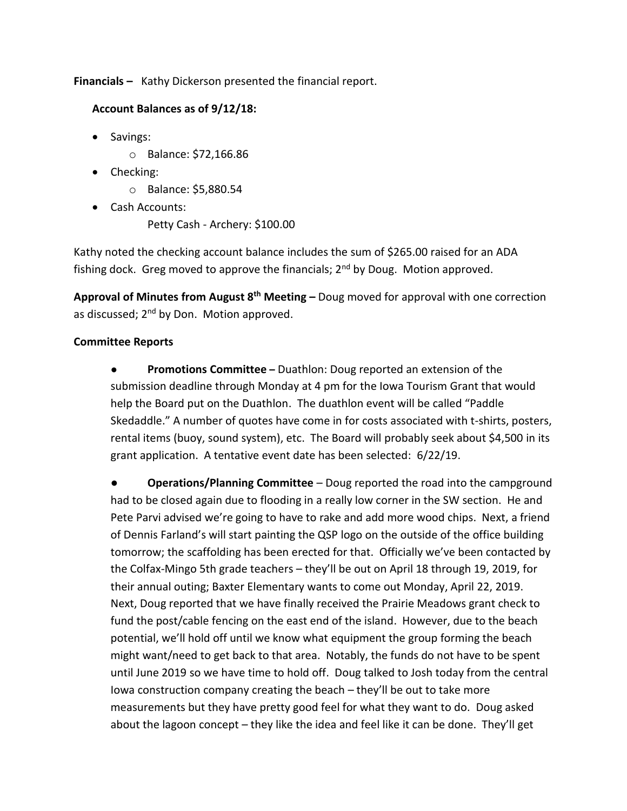**Financials –** Kathy Dickerson presented the financial report.

### **Account Balances as of 9/12/18:**

- Savings:
	- o Balance: \$72,166.86
- Checking:
	- o Balance: \$5,880.54
- Cash Accounts:
	- Petty Cash Archery: \$100.00

Kathy noted the checking account balance includes the sum of \$265.00 raised for an ADA fishing dock. Greg moved to approve the financials;  $2<sup>nd</sup>$  by Doug. Motion approved.

**Approval of Minutes from August 8th Meeting –** Doug moved for approval with one correction as discussed; 2<sup>nd</sup> by Don. Motion approved.

### **Committee Reports**

● **Promotions Committee –** Duathlon: Doug reported an extension of the submission deadline through Monday at 4 pm for the Iowa Tourism Grant that would help the Board put on the Duathlon. The duathlon event will be called "Paddle Skedaddle." A number of quotes have come in for costs associated with t-shirts, posters, rental items (buoy, sound system), etc. The Board will probably seek about \$4,500 in its grant application. A tentative event date has been selected: 6/22/19.

● **Operations/Planning Committee** – Doug reported the road into the campground had to be closed again due to flooding in a really low corner in the SW section. He and Pete Parvi advised we're going to have to rake and add more wood chips. Next, a friend of Dennis Farland's will start painting the QSP logo on the outside of the office building tomorrow; the scaffolding has been erected for that. Officially we've been contacted by the Colfax-Mingo 5th grade teachers – they'll be out on April 18 through 19, 2019, for their annual outing; Baxter Elementary wants to come out Monday, April 22, 2019. Next, Doug reported that we have finally received the Prairie Meadows grant check to fund the post/cable fencing on the east end of the island. However, due to the beach potential, we'll hold off until we know what equipment the group forming the beach might want/need to get back to that area. Notably, the funds do not have to be spent until June 2019 so we have time to hold off. Doug talked to Josh today from the central Iowa construction company creating the beach – they'll be out to take more measurements but they have pretty good feel for what they want to do. Doug asked about the lagoon concept – they like the idea and feel like it can be done. They'll get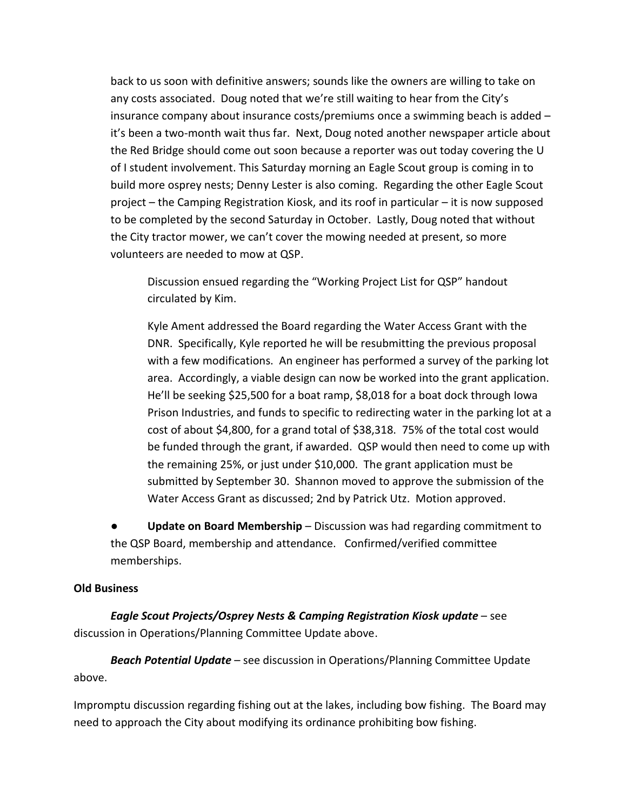back to us soon with definitive answers; sounds like the owners are willing to take on any costs associated. Doug noted that we're still waiting to hear from the City's insurance company about insurance costs/premiums once a swimming beach is added – it's been a two-month wait thus far. Next, Doug noted another newspaper article about the Red Bridge should come out soon because a reporter was out today covering the U of I student involvement. This Saturday morning an Eagle Scout group is coming in to build more osprey nests; Denny Lester is also coming. Regarding the other Eagle Scout project – the Camping Registration Kiosk, and its roof in particular – it is now supposed to be completed by the second Saturday in October. Lastly, Doug noted that without the City tractor mower, we can't cover the mowing needed at present, so more volunteers are needed to mow at QSP.

Discussion ensued regarding the "Working Project List for QSP" handout circulated by Kim.

Kyle Ament addressed the Board regarding the Water Access Grant with the DNR. Specifically, Kyle reported he will be resubmitting the previous proposal with a few modifications. An engineer has performed a survey of the parking lot area. Accordingly, a viable design can now be worked into the grant application. He'll be seeking \$25,500 for a boat ramp, \$8,018 for a boat dock through Iowa Prison Industries, and funds to specific to redirecting water in the parking lot at a cost of about \$4,800, for a grand total of \$38,318. 75% of the total cost would be funded through the grant, if awarded. QSP would then need to come up with the remaining 25%, or just under \$10,000. The grant application must be submitted by September 30. Shannon moved to approve the submission of the Water Access Grant as discussed; 2nd by Patrick Utz. Motion approved.

● **Update on Board Membership** – Discussion was had regarding commitment to the QSP Board, membership and attendance. Confirmed/verified committee memberships.

#### **Old Business**

*Eagle Scout Projects/Osprey Nests & Camping Registration Kiosk update* – see discussion in Operations/Planning Committee Update above.

*Beach Potential Update* – see discussion in Operations/Planning Committee Update above.

Impromptu discussion regarding fishing out at the lakes, including bow fishing. The Board may need to approach the City about modifying its ordinance prohibiting bow fishing.